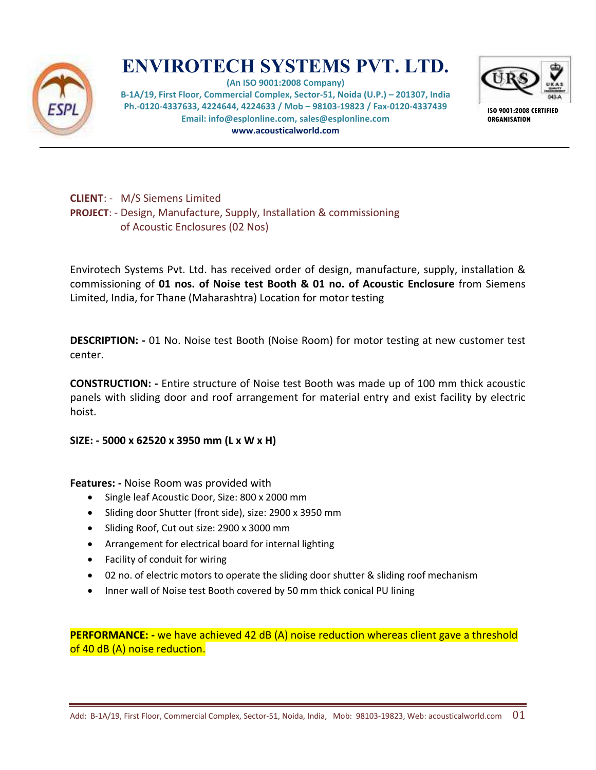

## **ENVIROTECH SYSTEMS PVT. LTD.**

**(An ISO 9001:2008 Company) B-1A/19, First Floor, Commercial Complex, Sector-51, Noida (U.P.) – 201307, India Ph.-0120-4337633, 4224644, 4224633 / Mob – 98103-19823 / Fax-0120-4337439 Email: info@esplonline.com, sales@esplonline.com www.acousticalworld.com** 



**ISO 9001:2008 CERTIFIED ORGANISATION** 

## **CLIENT**: - M/S Siemens Limited **PROJECT**: - Design, Manufacture, Supply, Installation & commissioning of Acoustic Enclosures (02 Nos)

Envirotech Systems Pvt. Ltd. has received order of design, manufacture, supply, installation & commissioning of **01 nos. of Noise test Booth & 01 no. of Acoustic Enclosure** from Siemens Limited, India, for Thane (Maharashtra) Location for motor testing

**DESCRIPTION: -** 01 No. Noise test Booth (Noise Room) for motor testing at new customer test center.

**CONSTRUCTION: -** Entire structure of Noise test Booth was made up of 100 mm thick acoustic panels with sliding door and roof arrangement for material entry and exist facility by electric hoist.

## **SIZE: - 5000 x 62520 x 3950 mm (L x W x H)**

**Features: -** Noise Room was provided with

- Single leaf Acoustic Door, Size: 800 x 2000 mm
- Sliding door Shutter (front side), size: 2900 x 3950 mm
- Sliding Roof, Cut out size: 2900 x 3000 mm
- Arrangement for electrical board for internal lighting
- Facility of conduit for wiring
- 02 no. of electric motors to operate the sliding door shutter & sliding roof mechanism
- Inner wall of Noise test Booth covered by 50 mm thick conical PU lining

**PERFORMANCE:** - we have achieved 42 dB (A) noise reduction whereas client gave a threshold of 40 dB (A) noise reduction.